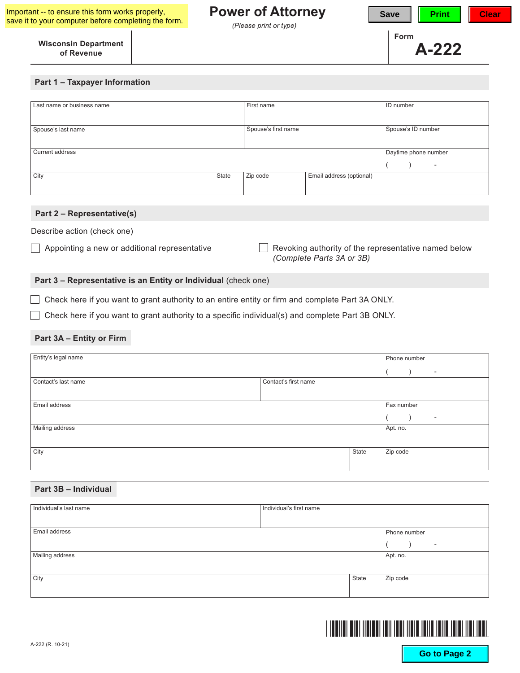## **Power of Attorney**

*(Please print or type)*



#### **Wisconsin Department of Revenue**

#### **Part 1 – Taxpayer Information**

| Last name or business name |       | First name          |                          | ID number                |  |
|----------------------------|-------|---------------------|--------------------------|--------------------------|--|
|                            |       |                     |                          |                          |  |
|                            |       |                     |                          |                          |  |
|                            |       |                     |                          |                          |  |
| Spouse's last name         |       | Spouse's first name |                          | Spouse's ID number       |  |
|                            |       |                     |                          |                          |  |
|                            |       |                     |                          |                          |  |
|                            |       |                     |                          |                          |  |
| Current address            |       |                     |                          | Daytime phone number     |  |
|                            |       |                     |                          |                          |  |
|                            |       |                     |                          | $\overline{\phantom{a}}$ |  |
| City                       | State | Zip code            | Email address (optional) |                          |  |
|                            |       |                     |                          |                          |  |
|                            |       |                     |                          |                          |  |
|                            |       |                     |                          |                          |  |
|                            |       |                     |                          |                          |  |

#### **Part 2 – Representative(s)**

Describe action (check one)

 $\Box$  Appointing a new or additional representative  $\Box$  Revoking authority of the representative named below *(Complete Parts 3A or 3B)*

### **Part 3 – Representative is an Entity or Individual** (check one)

Check here if you want to grant authority to an entire entity or firm and complete Part 3A ONLY.

 $\Box$  Check here if you want to grant authority to a specific individual(s) and complete Part 3B ONLY.

#### **Part 3A – Entity or Firm**

| Entity's legal name |                      |       | Phone number                 |
|---------------------|----------------------|-------|------------------------------|
|                     |                      |       | $\qquad \qquad \blacksquare$ |
| Contact's last name | Contact's first name |       |                              |
|                     |                      |       |                              |
| Email address       |                      |       | Fax number                   |
|                     |                      |       | $\overline{\phantom{a}}$     |
| Mailing address     |                      |       | Apt. no.                     |
|                     |                      |       |                              |
| City                |                      | State | Zip code                     |
|                     |                      |       |                              |

#### **Part 3B – Individual**

| Individual's last name | Individual's first name |       |                          |
|------------------------|-------------------------|-------|--------------------------|
|                        |                         |       |                          |
| Email address          |                         |       | Phone number             |
|                        |                         |       | $\overline{\phantom{a}}$ |
| Mailing address        |                         |       | Apt. no.                 |
|                        |                         |       |                          |
| City                   |                         | State | Zip code                 |
|                        |                         |       |                          |